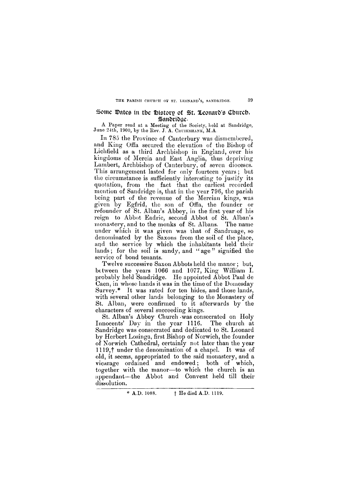### **THE PARISH CHURCH OF ST. LEONARD'S, SANDRIDGE. 3 9**

# Some Dates in tbe History of St. Leonard's Church, Sandridge

**A Paper read at a Meeting of the Society, held at Sandridge, June 24th, 1900, by the Rev. J. A. CRUIKSHANK, M.A.** 

In 785 the Province of Canterbury was dismembered, and King Offa secured the elevation of the Bishop of Lichfield as a third Archbishop in England, over his kingdoms of Mercia and East Anglia, thus depriving Lambert, Archbishop of Canterbury, of seven dioceses. This arrangement lasted for only fourteen years ; but the circumstance is sufficiently interesting to justify its quotation, from the fact that the earliest recorded mention of Sandridge is, that in the year 796, the parish being part of the revenue of the Mercian kings, was given by Egfrid, the son of Offa, the founder or refounder of St. Alban's Abbey, in the first year of his reign to Abbot Eadric, second Abbot of St. Alban's monastery, and to the monks of St. Albans. The name under which it was given was that of Sandruage, so denominated by the Saxons from the soil of the place, and the service by which the inhabitants held their lands; for the soil is sandy, and "age" signified the service of bond tenants.

Twelve successive Saxon Abbots held the manor; but, between the years 1066 and 1077, King William I. probably held Sandridge. He appointed Abbot Paul de Caen, in whose hands it was in the time of the Domesday Survey.\* It was rated for ten hides, and those lands, with several other lands belonging to the Monastery of St. Alban, were confirmed to it afterwards by the characters of several succeeding kings.

St. Alban's Abbey Church was consecrated on Holy Innocents' Day in the year 1116. The church at Sandridge was consecrated and dedicated to St. Leonard by Herbert Losinga, first Bishop of Norwich, the founder of Norwich Cathedral, certainly not later than the year 1119, $\dagger$  under the denomination of a chapel. It was of old, it seems, appropriated to the said monastery, and a vicarage ordained and endowed; both of which, together with the manor—to which the church is an appendant—the Abbot and Convent held till their dissolution.

**\* A.D. 1088. f He died A.D. 1119.**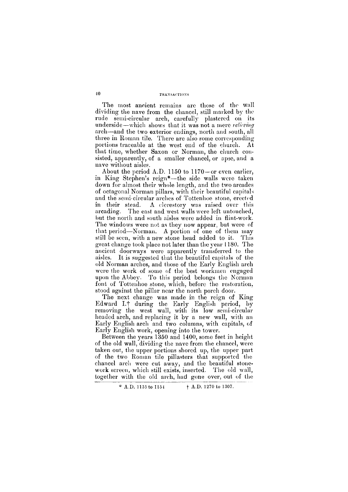The most ancient remains are those of the wall dividing the nave from the chancel, still marked by the rude semi-circular arch, carefully plastered on its underside—which shows that it was not a mere *relieving*  arch—and the two exterior endings, north and south, all three in Roman tile. There are also some corresponding portions traceable at the west end of the church. At that time, whether Saxon or Norman, the church consisted, apparently, of a smaller chancel, or apse, and a nave without aisles.

About the period A.D. 1150 to 1170—or even earlier, in King Stephen's reign\*—the side walls were taken down for almost their whole length, and the two arcades of octagonal Norman pillars, with their beautiful capitals and the semi-circular arches of Tottenhoe stone, erected in their stead. A clerestory was raised over this arcading. The east and west walls were left untouched, but the north and south aisles were added in flint-work. The windows were not as they now appear, but were of that period—Norman. A portion of one of them may still be seen, with a new stone head added to it. This great change took place not later than the year 1180. The ancient doorways were apparently transferred to the aisles. It is suggested that the beautiful capitals of the old Norman arches, and those of the Early English arch were the work of some of the best workmen engaged upon the Abbey. To this period belongs the Norman font of Tottenhoe stone, which, before the restoration, stood against the pillar near the north porch door.

The next change was made in the reign of King Edward I.t during the Early English period, by removing the west wall, with its low semi-circular headed arch, and replacing it by a new wall, with an Early English arch and two columns, with capitals, of Early English work, opening into the tower.

Between the years 1350 and 1400, some feet in height of the old wall, dividing the nave from the chancel, were taken out, the upper portions shored up, the upper part of the two Roman tile pillasters that supported the chancel arch were cut away, and the beautiful stonework screen, which still exists, inserted. The old wall,

together with the old arch, had gone over, out of the

**\*** A.D. 1135 to 1154 **f** A.D. 1270 to 1307.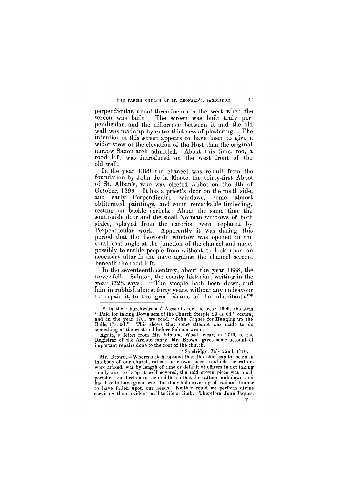### **THE PARISH CHURCH OF ST. LEONARD'S, SANDRIDGE 41**

perpendicular, about three inches to the west when the screen was built. The screen was built truly perpendicular, and the difference between it and the old wall was made up by extra thickness of plastering. The intention of this screen appears to have been to give a wider view of the elevation of the Host than the original narrow Saxon arch admitted. About this time, too, a rood loft was introduced on the west front of the old wall.

In the year 1399 the chancel was rebuilt from the foundation by John de la Moote, the thirty-first Abbot of St. Alban's, who was elected Abbot on the 9th of October, 1396. It has a priest's door on the north side, and early Perpendicular windows, some almost obliterated paintings, and some remarkable timbering, resting on buckle corbels. About the same time the south-aisle door and the small Norman windows of both aisles, splayed from the exterior, were replaced by Perpendicular work. Apparently it was during this period that the Low-side window was opened in the south-east angle at the junction of the chancel and nave, possibly to enable people from without to look upon an accessory altar in the nave against the chancel screen, beneath the rood loft.

**timely care to keep it well covered, the said crown piece was much perished and broken in the middle, so that the rafters sunk down and had like to have given way, for the whole covering of lead and timber to have fallen upon our heads. Neither could we perform divine service without evident peril to life or limb. Therefore, John Jaques,**  $\mathbf{F}$ 

In the seventeenth century, about the year 1688, the tower fell. Salmon, the county historian, writing in the year 1728, says: "The steeple hath been down, and lain in rubbish almost forty years, without any endeavour to repair it, to the great shame of the inhabitants."\*

**" Sandridge, July 22nd, 1710.** 

**<sup>\*</sup> In the Churchwardens' Accounts for the year 1699, the item " Paid for taking Down som of the Church Steeple £3 4s. 6d." occurs ; and in the year 1701 we read, "John Jaques for Hanging up the Bells, 17s. 0d." This shows that some attempt was made to do something at the west end before Salmon wrote.** 

**Again, a letter from Mr. Edmund Wood, vicar, in 1710, to the Registrar of the Archdeaconry, Mr. Brown, gives some account of important repairs done to the roof of the church.** 

**Mr. Brown,—Whereas it happened that the chief capital beam in the body of our church, called the crown piece, to which the rafters wero affixed, was by length of time or default of officers in not taking**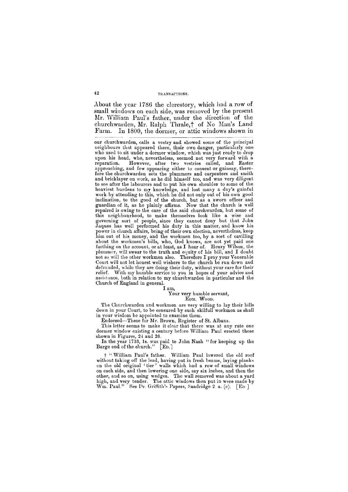About the year 1786 the clerestory, which had a row of small windows on each side, was removed by the present Mr. William Paul's father, under the direction of the churchwarden, Mr. Ralph Thrale,<sup>†</sup> of No Man's Land Farm. In 1800, the dormer, or attic windows shown in

**our churchwarden, calls a vestry and showed some of the principal neighbours that appeared there, their own danger, particularly one**  who used to sit under a dormer window, which was just ready to drop **upon his head, who, nevertheless, seemed not very forward with a reparation. However, after two vestries called, and Easter approaching, and few appearing either to consent or gainsay, therefore the churchwarden sets the plummers and carpenters and smith and bricklayer on work, as he did himself too, and was very diligent to see after the labourers and to put his own shoulder to some of the heaviest burdens to my knowledge, and lost many a day's gainful work by attending to this, which he did not only out of his own good inclination, to the good of the church, but as a sworn officer and guardian of it, as he plainly affirms. Now that the church is well repaired is owing to the care of the said churchwarden, but some of this neighbourhood, to make themselves look like a wise and governing sort of people, since they cannot deny but that John Jaques has well performed his duty in this matter, and know his power in church affairs, being of their own election, nevertheless, keep him out of his money, and the workmen too, by a sort of cavilling about the workmen's bills, who, God knows, are not yet paid one farthing on the account, or at least, as I hear of. Henry Wilson, the plummer, will swear to the truth and equity of his bill, and I doubt not so will the other workmen also. Therefore I pray your Venerable Court will not let honest well wishers to the church be run down and defrauded, while they are doing their duty, without your care for their relief. With my humble service to you in hopes of your advice and assistance, both in relation to my churchwarden in particular and the Church of England in general.** 

#### **I am,**

#### **Your very humble servant, EDM . WOOD .**

**The Churchwarden and workmen are very willing to lay their bills down in your Court, to be censured by such skilfull workmen as shall in your wisdom be appointed to examine them.** 

**Endorsed—These for Mr. Brown, Register of St. Albans.** 

**This letter seems to make it clear that there was at any rate one dormer window existing a century before William Paul erected those shown in Figures, 24 and 26.** 

**In the year 1733, 1s. was paid to John Nash " for keeping up the Barge end of the church." [ED.]** 

**f "William Paul's father. William Paul lowered the old roof without taking off the lead, having put in fresh beams, laying planks on the old original ' tier ' walls which had a row of small windows on each side, and then lowering one side, say six inches, and then the other, and so on, using wedges. The wall removed was about a yard high, and very tender. The attic windows then put in were made by W m. Paul." See Dr. Griffith's Papers, Sandridge 2. a. (c). [ED ]**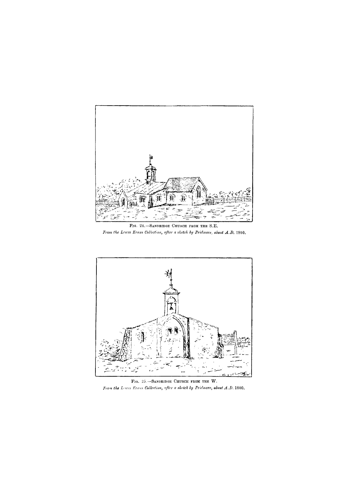

FIG. 24.-SANDRIDGE CHURCH FROM THE S.E. *From the Lewss Evans Collection, after a sketch by Pridmore, about A.D.* **1800.** 



FIG. 25.-SANDRIDGE CHURCH FROM THE W.

*From the Lewes Evans Collection, after a sketch by Pridmore, about A.D.* **1800.**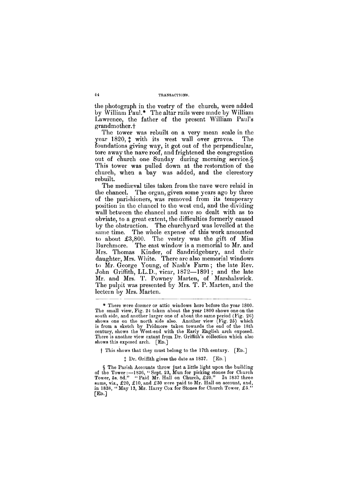the photograph in the vestry of the church, were added by William Paul.\* The altar rails were made by William Lawrence, the father of the present William Paul's grandmother. +

The tower was rebuilt on a very mean scale in the year  $1820, \pm$  with its west wall over graves. The foundations giving way, it got out of the perpendicular, tore away the nave roof, and frightened the congregation out of church one Sunday during morning service. § This tower was pulled down at the restoration of the church, when a bay was added, and the clerestory rebuilt.

The mediaeval tiles taken from the nave were relaid in the chancel. The organ, given some years ago by three of the parishioners, was removed from its temporary position in the chancel to the west end, and the dividing wall between the chancel and nave so dealt with as to obviate, to a great extent, the difficulties formerly caused by the obstruction. The churchyard was levelled at the same time. The whole expense of this work amounted to about £3,800. The vestry was the gift of Miss Burchmore. The east window is a memorial to Mr. and Mrs. Thomas Kinder, of Sandridgebury, and their daughter, Mrs. White. There are also memorial windows to Mr. George Young, of Nash's Farm; the late Rev. John Griffith, LL.D., vicar, 1872—1891; and the late Mr. and Mrs. T. Powney Marten, of Marshalswick. The pulpit was presented by Mrs. T. P. Marten, and the lectern by Mrs. Marten.

**§ The Parish Accounts throw just a little light upon the building of the Tower:—1836, "Sept . 23, Mun for picking stones for Church Tower, 5s. 8d." "Paid Mr. Hall on Church, £20." In 1837 three sums, viz., £20, £10, and £30 were paid to Mr. Hall on account, and,**  in 1838, "May 13, Mr. Harry Cox for Stones for Church Tower, £5."  $\lceil$ **E**<sub>D</sub>. $\rceil$ 

**] This shows that they must belong to the 17th century. [ED.]** 

**% Dr. Griffith gives the date as 1837. [ED.]** 

**<sup>\*</sup> There were dormer or attic windows here before the year 1800. The small view, Fig. 24 taken about the year 1800 shows one on the south side, and another larger one of about the same period (Fig. 26) shows one on the north side also. Another view (Fig. 25) which is from a sketch by Pridmore taken towards the end of the 18th century, shows the West-end with the Early English arch exposed. There is another view extant from Dr. Griffith's collection which also shows this exposed arch. [ED.]**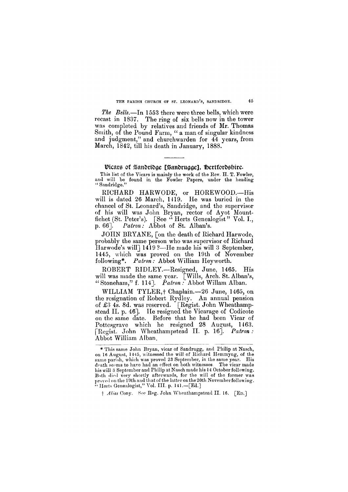### **THE PARISH CHURCH OF ST. LEONARD'S, SANDRIDGE. 45**

*The Bells*.—In 1553 there were three bells, which were recast in 1837. The ring of six bells now in the tower was completed by relatives and friends of Mr. Thomas Smith, of the Pound Farm, " a man of singular kindness and judgment," and churchwarden for 44 years, from March, 1842, till his death in January, 1888.

# $\mathfrak{B}$ bire.  $\mathfrak{B}$ andridge, Hertfordshire, Hertfordshire, Hertfordshire, Hertfordshire, Hertfordshire, Hertfordshire, Hertfordshire, Hertfordshire, Hertfordshire, Hertfordshire, Hertfordshire, Hertfordshire, Hertfor

**This list of the Vicars is mainly the work of the Rev. H . T. Fowler, and will be found in the Fowler Papers, under the heading " Sandridge."** 

RICHARD HARWODE, or HOREWOOD.—His will is dated 26 March, 1419. He was buried in the chancel of St. Leonard's, Sandridge, and the supervisor of his will was John Bryan, rector of Ayot Mountfichet (St. Peter's). [See " Herts Genealogist" Vol. I., p. 66]. *Patron:* Abbot of St. Alban's.

WILLIAM TYLER, + Chaplain. - 26 June, 1465, on the resignation of Robert Rydley. An annual pension of £3 4s. 8d. was reserved. [Regist. John Wheathampstead II. p. 46]. He resigned the Vicarage of Codicote on the same date. Before that he had been Vicar of Pottesgrave which he resigned 28 August, 1463. [Regist. John Wheathampstead II. p. 16]. *Patron :*  Abbot William Alban.

JOHN BRYANE, [on the death of Richard Harwode, probably the same person who was supervisor of Richard Harwode's will | 1419 ?—He made his will 3 September, 1445, which was proved on the 19th of November following\*. *Patron:* Abbot William Heyworth.

ROBERT RIDLEY.—Resigned, June, 1465. His will was made the same year. [Wills, Arch. St. Alban's, " Stoneham," f. 114]. *Patron :* Abbot Willam Alban.

**Both died very shortly afterwards, for the will of the former was**  proved on **the 19th and that of the latter on the 20th November following. " Herts Genealogist," Vol. III . p. 141.—[Ed.]** 

**F** *Alias* **Cony.** See **Reg. John Wheathampstead II . 16. [ED.]** 

**<sup>\*</sup> This same John Bryan, vicar of Sandrugg, and Philip at Nasch,**  on 16 August, 1445, witnessed the will of Richard Hemmyng, of the **same parish, which was proved 23 September, in the same year. His death seems to have had an effect on both witnesses. The vicar made his will 3 September and Philip at Nasch made his 14 October following.**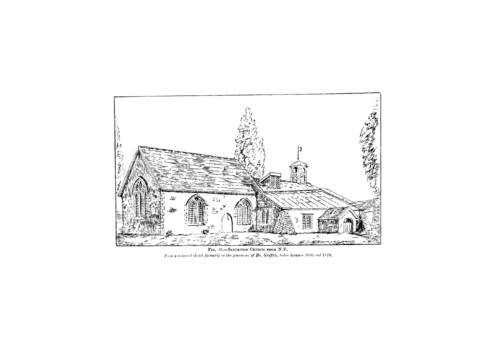

**FIG. 26.—SANDRIDGE CHURCH FROM N.E .**  *From a coloured sketch formerly in the possession of Dr. Griffith, taken between* 1800 *and* 1820.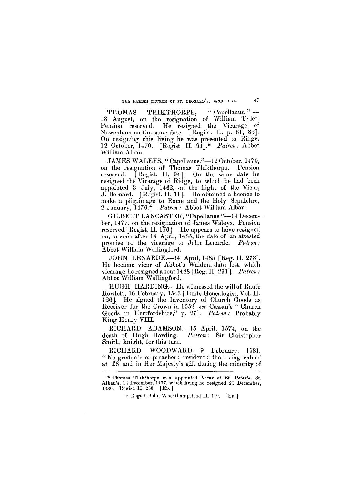**THE PARISH CHURCH OF ST. LEONARD'S, SANDRIDGE. 4 7** 

THOMAS THIKTHORPE, "Capellanus." -13 August, on the resignation of William Tyler. Pension reserved. He resigned the Vicarage of Newenham on the same date. [Regist. II. p. 81, 82]. On resigning this living he was presented to Ridge, 12 October, 1470. [Regist. II. 91].\* *Patron:* Abbot William Alban.

JAMES WALEYS, " Capellanus."—12 October, 1470, on the resignation of Thomas Thikthorpe. Pension reserved. [Regist. II. 94]. On the same date he resigned the Vicarage of Ridge, to which he had been appointed 3 July, 1462, on the flight of the Vicar, J. Bernard. [Regist. II. 11]. He obtained a licence to make a pilgrimage to Rome and the Holy Sepulchre, 2 January, 1476.f *Patron:* Abbot William Alban.

GILBERT LANCASTER, "Capellanus."—14 December, 1477, on the resignation of James Waleys. Pension reserved [Regist. II. 176]. He appears to have resigned on, or soon after 14 April, 1485, the date of an attested promise of the vicarage to John Lenarde. *Patron:*  Abbot William Wallingford.

JOHN LENARDE.—14 April, 1485 [Reg. II. 273]. He became vicar of Abbot's Walden, date lost, which vicarage he resigned about 1488 [Reg. II. 291]. *Patron :*  Abbot William Wallingford.

HUGH HARDING.—He witnessed the will of Raufe Rowlett, 16 February, 1543 [Herts Genealogist, Vol. II. 126]. He signed the Inventory of Church Goods as Receiver for the Crown in 1552 *[see* Cussan's " Church Goods in Hertfordshire," p. 27]. *Patron:* Probably King Henry VIII.

RICHARD ADAMSON.—15 April, 1574, on the death of Hugh Harding. *Patron:* Sir Christopher Smith, knight, for this turn.

RICHARD WOODWARD.—9 February, 1581. "No graduate or preacher: resident: the living valued at £8 and in Her Majesty's gift during the minority of

**\* Thomas Thikthorpe was appointed Vicar of St. Peter's, St. Alban's, 14 December, 1477, which living he resigned 21 December, 1480. Regist. II. 238. [ED.]** 

**F Regist. John Wheathampstead II. 119. [ED.]**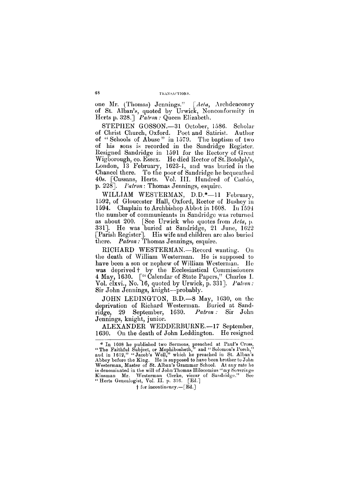one Mr. (Thomas) Jennings." *[Acla,* Archdeaconry of St. Alban's, quoted by Urwick, Nonconformity in Herts p. 328.] *Patron:* Queen Elizabeth.

STEPHEN GOSSON.—31 October, 1586. Scholar of Christ Church, Oxford. Poet and Satirist. Author of "Schools of Abuse" in 1579. The baptism of two of his sons is recorded in the Sandridge Register. Resigned Sandridge in 1591 for the Rectory of Great Wigborough, co. Essex. He died Rector of St. Botolph's, London, 13 February, 1623-4, and was buried in the Chancel there. To the poor of Sandridge he bequeathed 40s. [Cussans, Herts. Vol. III. Hundred of Cashio, p. 228]. *Patron*: Thomas Jennings, esquire.

WILLIAM WESTERMAN, D.D.\*—11 February, 1592, of Gloucester Hall, Oxford, Rector of Bushey in 1594. Chaplain to Archbishop Abbot in 1608. In 1594 the number of communicants in Sandridge was returned as about 200. [See Urwick who quotes from *Acta*, p, 331]. He was buried at Sandridge, 21 June, 1622 [Parish Register]. His wife and children are also buried there. *Patron:* Thomas Jennings, esquire.

Kinsman Mr. Westerman Clerke, viccar of Sandridge." " Herts Genealogist, Vol. II. p. 316. [Ed.] **f for incontinency.—[Ed.]** 

RICHARD WESTERMAN.—Record wanting. On the death of William Westerman. He is supposed to have been a son or nephew of William Westerman. He was deprived + by the Ecclesiastical Commissioners 4 May, 1630. [" Calendar of State Papers," Charles I. Vol. clxvi., No. 16, quoted by Urwick, p. 331]. *Patron:*  Sir John Jennings, knight—probably.

JOHN LEDINGTON, B.D.—8 May, 1630, on the deprivation of Richard Westerman. Buried at Sandridge, 29 September, 1630. *Patron :* Sir John Jennings, knight, junior.

ALEXANDER WEDDERBURNE.—17 September, 1630. On the death of John Leddington. He resigned

**<sup>\*</sup> In 1608 he published two Sermons, preached at Paul's Cross, "The Faithful Subject, or Mephibosheth," and " Solomon's Porch," and in 1612," " Jacob's Well," which he preached in St. Alban's Abbey before the King. He is supposed to have been brother to John Westerman, Master of St. Alban's Grammar School. At any rate he is denominated in the will of John Thomas Hilocomius "m y Soveringe**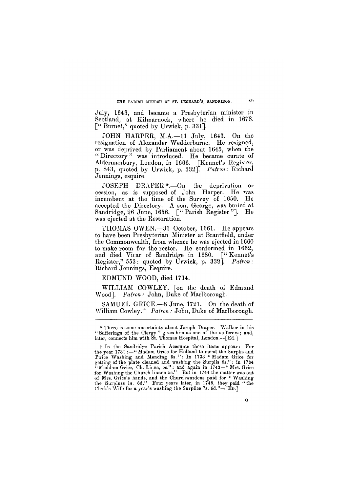**THE PARISH CHURCH OF ST. LEONARD'S, SANDRIDGE. 49** 

July, 1643, and became a Presbyterian minister in Scotland, at Kilmarnock, where he died in 1678. [" Burnet," quoted by Urwick, p. 331].

JOHN HARPER, M.A.—11 July, 1643. On the resignation of Alexander Wedderburne. He resigned, or was deprived by Parliament about 1645, when the "Directory" was introduced. He became curate of Aldermanbury, London, in 1666. [Kennet's Register, p. 843, quoted by Urwick, p. 332]. *Patron*: Richard Jennings, esquire.

SAMUEL GRICE.—8 June, 1721. On the death of William Cowley.<sup>†</sup> Patron : John, Duke of Marlborough.

JOSEPH DRAPER\*.—On the deprivation or cession, as is supposed of John Harper. He was incumbent at the time of the Survey of 1650. He accepted the Directory. A son, George, was buried at Sandridge, 26 June, 1656. [" Parish Register"]. He was ejected at the Restoration.

THOMAS OWEN.—31 October, 1661. He appears to have been Presbyterian Minister at Brantfield, under the Commonwealth, from whence he was ejected in 1660 to make room for the rector. He conformed in 1662, and died Vicar of Sandridge in 1680. [" Kennet's Register," 553: quoted by Urwick, p. 332]. *Patron :*  Richard Jennings, Esquire.

EDMUND WOOD, died 1714.

WILLIAM COWLEY, [on the death of Edmund Wood]. *Patron :* John, Duke of Marlborough.

**for Washing the Church linnen 5s." But in 1744 the matter was out of Mrs. Grice's hands, and the Churchwardens paid for "Washing the Surpluss Is. 6d." Four years later, in 1748, they paid "the Clerk's Wife for a year's washing the Surplice 7s. 6d."—[ED.]** 

**G** 

**<sup>\*</sup> There is some uncertainty about Joseph Draper. Walker in his "Sufferings of the Clergy" gives him as one of the sufferers; and, later, connects him with St. Thomas Hospital, London.—[Ed.]** 

**f In the Sandridge Parish Accounts these items appear:—For the year 1731 :— " Madam Grice for Holland to mend the Surplis and**  Twice Washing and Mending 5s.": In 1733 "Madam Grice for **getting of the plate cleaned and washing the Surplis 5s." : in 1734 " Maddam Grice, Ch. Linen, 5s.": and again in 1743—" Mrs. Grice**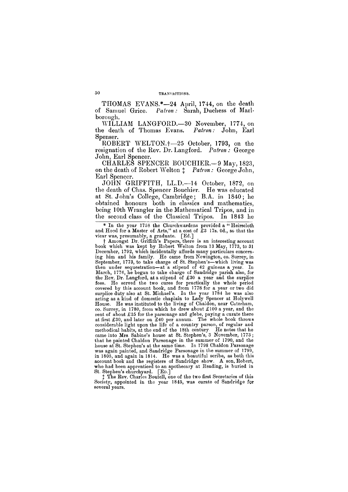THOMAS EVANS.\*—24 April, 1744, on the death of Samuel Grice. *Patron:* Sarah, Duchess of Marlborough.

WILLIAM LANGFORD.—30 November, 1774, on the death of Thomas Evans. *Patron:* John, Earl Spenser.

ROBERT WELTON.+—25 October, 1793, on the resignation of the Rev. Dr. Langford. *Patron :* George John, Earl Spencer.

CHARLES SPENCER BOUCHIER.—9 May, 1823, on the death of Robert Welton  $\ddagger$  *Patron:* George John, Earl Spencer.

JOHN GRIFFITH, LL.D.—14 October, 1872, on the death of Chas. Spencer Bouchier. He was educated at St. John's College, Cambridge; B.A. in 1840; he obtained honours both in classics and mathematics, being 10th Wrangler in the Mathematical Tripos, and in the second class of the Classical Tripos. In 1843 he

**\* In the year 1758 the Churchwardens provided a " Heirscloth**  and Hood for a Master of Arts," at a cost of £3 17s. 0d., so that the **vicar was, presumably, a graduate. [Ed.]** 

**f Amongst Dr. Griffith's Papers, there is an interesting account book which was kept by Robert Welton from 13 May, 1773, to 31 December, 1792, which incidentally affords many particulars concerning him and his family. He came from Newington, co. Surrey, in September, 1773, to take charge of St. Stephen's—which living was then under sequestration—at a stipend of 42 guineas a year. In March, 1776, he began to take charge of Sandridge parish also, for the Rev. Dr. Langford, at a stipend of £30 a year and the surplice**  fees. He served the two cures for practically the whole period **covered by this account book, and from 1778 for a year or two did surplice duty also at St. Michael's. In the year 1784 he was also acting as a kind of domestic chaplain to Lady Spencer at Holywell House. He was instituted to the living of Chaldon, near Caterham, co. Surrey, in 1780, from which he drew about £100 a year, and the rent of about £25 for the parsonage and glebe, paying a curate there at first £30, and later on £40 per annum. The whole book throws considerable light upon the life of a country parson, of regular and methodical habits, at the end of the 18th century He notes that he came into Mrs. Sabine's house at St. Stephen's, 3 November, 1773; that he painted Chaldon Parsonage in the summer of 1790, and the house at St. Stephen's at the same time. In 1798 Chaldon Parsonage was again painted, and Sandridge Parsonage in the summer of 1799,**  in 1805, and again in 1814. He was a beautiful scribe, as both this **account book and the registers of Sandridge show. A son, Robert, who had been apprenticed to an apothecary at Reading, is buried in** 

**St. Stephen's churchyard. [ED.]** 

**X The Rev. Charles Boutell, one of the two first Secretaries of this Society, appointed in the year 1845, was curate of Sandridge for several years.**